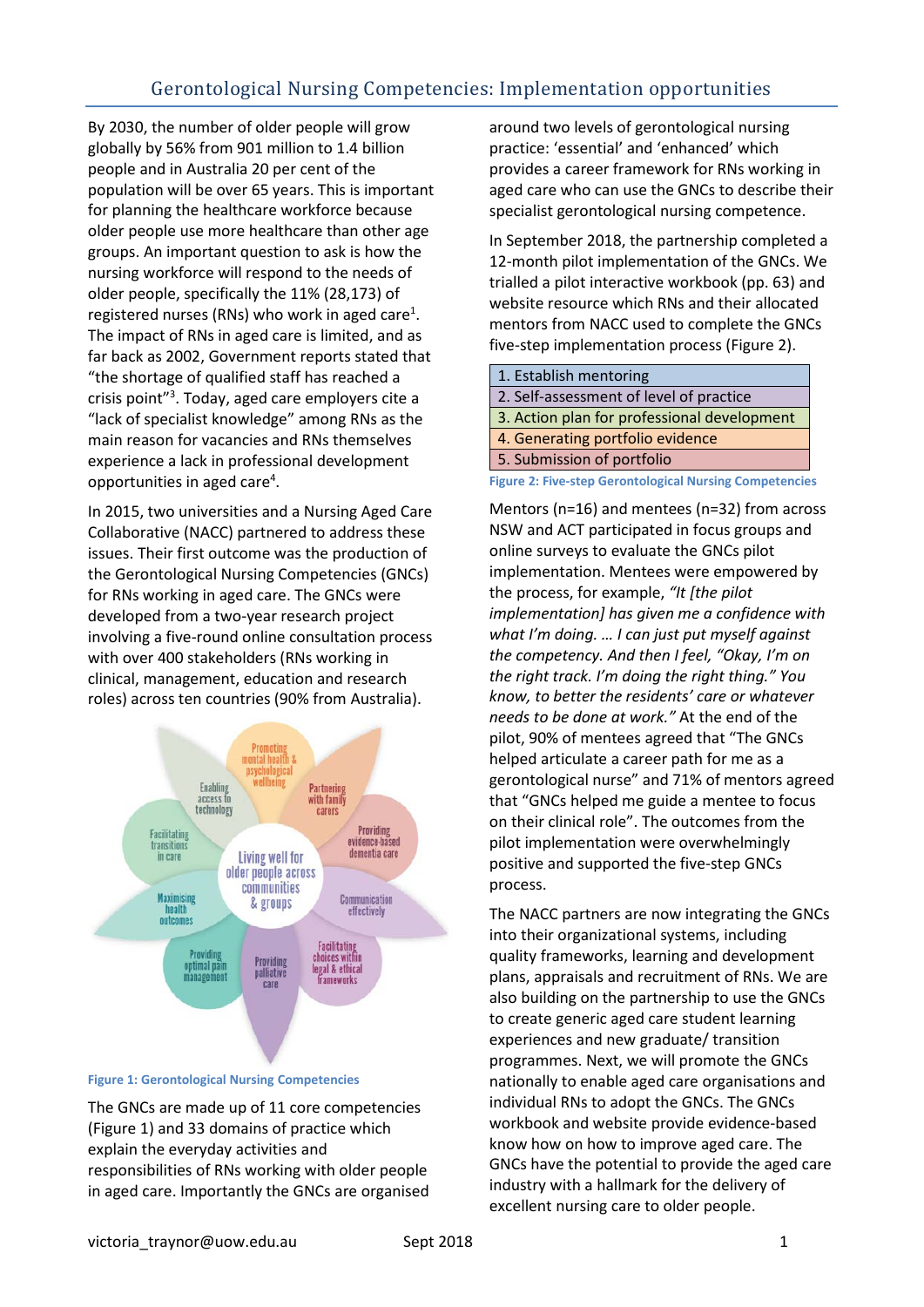By 2030, the number of older people will grow globally by 56% from 901 million to 1.4 billion people and in Australia 20 per cent of the population will be over 65 years. This is important for planning the healthcare workforce because older people use more healthcare than other age groups. An important question to ask is how the nursing workforce will respond to the needs of older people, specifically the 11% (28,173) of registered nurses (RNs) who work in aged care<sup>1</sup>. The impact of RNs in aged care is limited, and as far back as 2002, Government reports stated that "the shortage of qualified staff has reached a crisis point"<sup>3</sup>. Today, aged care employers cite a "lack of specialist knowledge" among RNs as the main reason for vacancies and RNs themselves experience a lack in professional development opportunities in aged care<sup>4</sup>.

In 2015, two universities and a Nursing Aged Care Collaborative (NACC) partnered to address these issues. Their first outcome was the production of the Gerontological Nursing Competencies (GNCs) for RNs working in aged care. The GNCs were developed from a two-year research project involving a five-round online consultation process with over 400 stakeholders (RNs working in clinical, management, education and research roles) across ten countries (90% from Australia).



## <span id="page-0-0"></span>**Figure 1: Gerontological Nursing Competencies**

The GNCs are made up of 11 core competencies [\(Figure 1\)](#page-0-0) and 33 domains of practice which explain the everyday activities and responsibilities of RNs working with older people in aged care. Importantly the GNCs are organised

around two levels of gerontological nursing practice: 'essential' and 'enhanced' which provides a career framework for RNs working in aged care who can use the GNCs to describe their specialist gerontological nursing competence.

In September 2018, the partnership completed a 12-month pilot implementation of the GNCs. We trialled a pilot interactive workbook (pp. 63) and website resource which RNs and their allocated mentors from NACC used to complete the GNCs five-step implementation process [\(Figure 2\)](#page-0-1).

| 1. Establish mentoring                                         |
|----------------------------------------------------------------|
| 2. Self-assessment of level of practice                        |
| 3. Action plan for professional development                    |
| 4. Generating portfolio evidence                               |
| 5. Submission of portfolio                                     |
| <b>Figure 2: Five-step Gerontological Nursing Competencies</b> |

<span id="page-0-1"></span>Mentors (n=16) and mentees (n=32) from across NSW and ACT participated in focus groups and online surveys to evaluate the GNCs pilot implementation. Mentees were empowered by the process, for example, *"It [the pilot implementation] has given me a confidence with what I'm doing. … I can just put myself against the competency. And then I feel, "Okay, I'm on the right track. I'm doing the right thing." You know, to better the residents' care or whatever needs to be done at work."* At the end of the pilot, 90% of mentees agreed that "The GNCs helped articulate a career path for me as a gerontological nurse" and 71% of mentors agreed that "GNCs helped me guide a mentee to focus on their clinical role". The outcomes from the pilot implementation were overwhelmingly positive and supported the five-step GNCs process.

The NACC partners are now integrating the GNCs into their organizational systems, including quality frameworks, learning and development plans, appraisals and recruitment of RNs. We are also building on the partnership to use the GNCs to create generic aged care student learning experiences and new graduate/ transition programmes. Next, we will promote the GNCs nationally to enable aged care organisations and individual RNs to adopt the GNCs. The GNCs workbook and website provide evidence-based know how on how to improve aged care. The GNCs have the potential to provide the aged care industry with a hallmark for the delivery of excellent nursing care to older people.